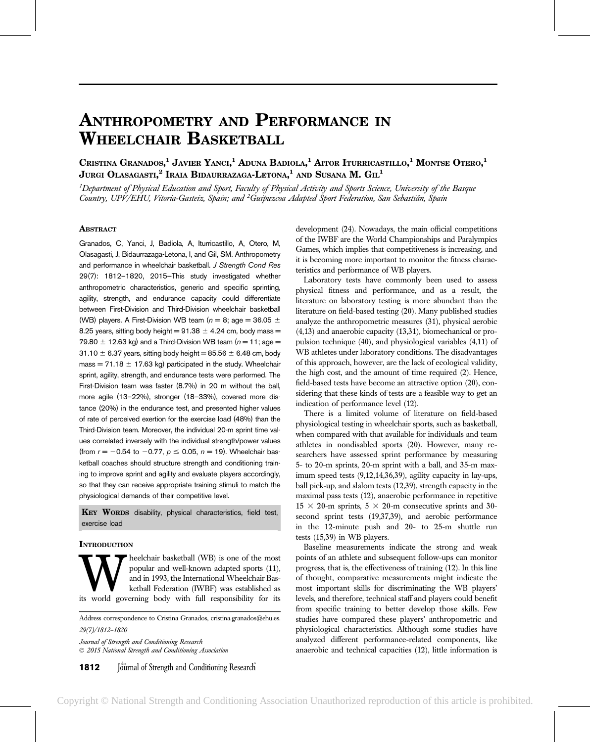# ANTHROPOMETRY AND PERFORMANCE IN WHEELCHAIR BASKETBALL

Cristina Granados,<sup>1</sup> Javier Yanci,<sup>1</sup> Aduna Badiola,<sup>1</sup> Aitor Iturricastillo,<sup>1</sup> Montse Otero,<sup>1</sup> Jurgi Olasagasti, $^2$  Iraia Bidaurrazaga-Letona, $^1$  and Susana M.  $\mathrm{G\mathrm{u}^1}$ 

<sup>1</sup>Department of Physical Education and Sport, Faculty of Physical Activity and Sports Science, University of the Basque Country, UPV/EHU, Vitoria-Gasteiz, Spain; and <sup>2</sup>Guipuzcoa Adapted Sport Federation, San Sebastián, Spain

# **ABSTRACT**

Granados, C, Yanci, J, Badiola, A, Iturricastillo, A, Otero, M, Olasagasti, J, Bidaurrazaga-Letona, I, and Gil, SM. Anthropometry and performance in wheelchair basketball. J Strength Cond Res 29(7): 1812–1820, 2015—This study investigated whether anthropometric characteristics, generic and specific sprinting, agility, strength, and endurance capacity could differentiate between First-Division and Third-Division wheelchair basketball (WB) players. A First-Division WB team ( $n = 8$ ; age = 36.05  $\pm$ 8.25 years, sitting body height =  $91.38 \pm 4.24$  cm, body mass = 79.80  $\pm$  12.63 kg) and a Third-Division WB team ( $n = 11$ ; age =  $31.10 \pm 6.37$  years, sitting body height = 85.56  $\pm$  6.48 cm, body mass = 71.18  $\pm$  17.63 kg) participated in the study. Wheelchair sprint, agility, strength, and endurance tests were performed. The First-Division team was faster (8.7%) in 20 m without the ball, more agile (13–22%), stronger (18–33%), covered more distance (20%) in the endurance test, and presented higher values of rate of perceived exertion for the exercise load (48%) than the Third-Division team. Moreover, the individual 20-m sprint time values correlated inversely with the individual strength/power values (from  $r = -0.54$  to  $-0.77$ ,  $p \le 0.05$ ,  $n = 19$ ). Wheelchair basketball coaches should structure strength and conditioning training to improve sprint and agility and evaluate players accordingly, so that they can receive appropriate training stimuli to match the physiological demands of their competitive level.

KEY WORDS disability, physical characteristics, field test, exercise load

### **INTRODUCTION**

**WHEEP SET ASSEM** popular and well-known adapted sports (11), and in 1993, the International Wheelchair Basketball Federation (IWBF) was established as its world governing body with full responsibility for its popular and well-known adapted sports (11), and in 1993, the International Wheelchair Basketball Federation (IWBF) was established as

Address correspondence to Cristina Granados, cristina.granados@ehu.es. 29(7)/1812–1820

Journal of Strength and Conditioning Research 2015 National Strength and Conditioning Association

**1812** Journal of Strength and Conditioning Research

development (24). Nowadays, the main official competitions of the IWBF are the World Championships and Paralympics Games, which implies that competitiveness is increasing, and it is becoming more important to monitor the fitness characteristics and performance of WB players.

Laboratory tests have commonly been used to assess physical fitness and performance, and as a result, the literature on laboratory testing is more abundant than the literature on field-based testing (20). Many published studies analyze the anthropometric measures (31), physical aerobic (4,13) and anaerobic capacity (13,31), biomechanical or propulsion technique (40), and physiological variables (4,11) of WB athletes under laboratory conditions. The disadvantages of this approach, however, are the lack of ecological validity, the high cost, and the amount of time required (2). Hence, field-based tests have become an attractive option (20), considering that these kinds of tests are a feasible way to get an indication of performance level (12).

There is a limited volume of literature on field-based physiological testing in wheelchair sports, such as basketball, when compared with that available for individuals and team athletes in nondisabled sports (20). However, many researchers have assessed sprint performance by measuring 5- to 20-m sprints, 20-m sprint with a ball, and 35-m maximum speed tests (9,12,14,36,39), agility capacity in lay-ups, ball pick-up, and slalom tests (12,39), strength capacity in the maximal pass tests (12), anaerobic performance in repetitive  $15 \times 20$ -m sprints,  $5 \times 20$ -m consecutive sprints and 30second sprint tests (19,37,39), and aerobic performance in the 12-minute push and 20- to 25-m shuttle run tests (15,39) in WB players.

Baseline measurements indicate the strong and weak points of an athlete and subsequent follow-ups can monitor progress, that is, the effectiveness of training (12). In this line of thought, comparative measurements might indicate the most important skills for discriminating the WB players' levels, and therefore, technical staff and players could benefit from specific training to better develop those skills. Few studies have compared these players' anthropometric and physiological characteristics. Although some studies have analyzed different performance-related components, like anaerobic and technical capacities (12), little information is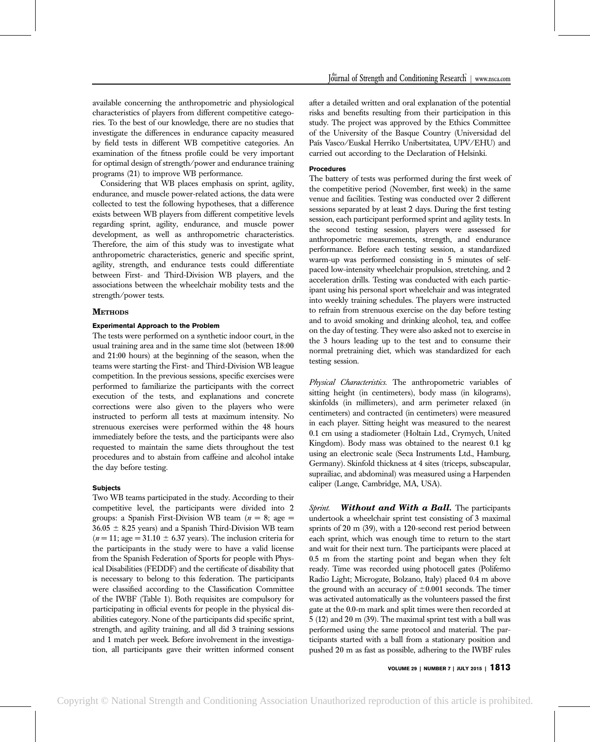available concerning the anthropometric and physiological characteristics of players from different competitive categories. To the best of our knowledge, there are no studies that investigate the differences in endurance capacity measured by field tests in different WB competitive categories. An examination of the fitness profile could be very important for optimal design of strength/power and endurance training programs (21) to improve WB performance.

Considering that WB places emphasis on sprint, agility, endurance, and muscle power-related actions, the data were collected to test the following hypotheses, that a difference exists between WB players from different competitive levels regarding sprint, agility, endurance, and muscle power development, as well as anthropometric characteristics. Therefore, the aim of this study was to investigate what anthropometric characteristics, generic and specific sprint, agility, strength, and endurance tests could differentiate between First- and Third-Division WB players, and the associations between the wheelchair mobility tests and the strength/power tests.

# **METHODS**

#### Experimental Approach to the Problem

The tests were performed on a synthetic indoor court, in the usual training area and in the same time slot (between 18:00 and 21:00 hours) at the beginning of the season, when the teams were starting the First- and Third-Division WB league competition. In the previous sessions, specific exercises were performed to familiarize the participants with the correct execution of the tests, and explanations and concrete corrections were also given to the players who were instructed to perform all tests at maximum intensity. No strenuous exercises were performed within the 48 hours immediately before the tests, and the participants were also requested to maintain the same diets throughout the test procedures and to abstain from caffeine and alcohol intake the day before testing.

# Subjects

Two WB teams participated in the study. According to their competitive level, the participants were divided into 2 groups: a Spanish First-Division WB team  $(n = 8;$  age  $=$  $36.05 \pm 8.25$  years) and a Spanish Third-Division WB team  $(n = 11; \text{ age} = 31.10 \pm 6.37 \text{ years})$ . The inclusion criteria for the participants in the study were to have a valid license from the Spanish Federation of Sports for people with Physical Disabilities (FEDDF) and the certificate of disability that is necessary to belong to this federation. The participants were classified according to the Classification Committee of the IWBF (Table 1). Both requisites are compulsory for participating in official events for people in the physical disabilities category. None of the participants did specific sprint, strength, and agility training, and all did 3 training sessions and 1 match per week. Before involvement in the investigation, all participants gave their written informed consent after a detailed written and oral explanation of the potential risks and benefits resulting from their participation in this study. The project was approved by the Ethics Committee of the University of the Basque Country (Universidad del País Vasco/Euskal Herriko Unibertsitatea, UPV/EHU) and carried out according to the Declaration of Helsinki.

# **Procedures**

The battery of tests was performed during the first week of the competitive period (November, first week) in the same venue and facilities. Testing was conducted over 2 different sessions separated by at least 2 days. During the first testing session, each participant performed sprint and agility tests. In the second testing session, players were assessed for anthropometric measurements, strength, and endurance performance. Before each testing session, a standardized warm-up was performed consisting in 5 minutes of selfpaced low-intensity wheelchair propulsion, stretching, and 2 acceleration drills. Testing was conducted with each participant using his personal sport wheelchair and was integrated into weekly training schedules. The players were instructed to refrain from strenuous exercise on the day before testing and to avoid smoking and drinking alcohol, tea, and coffee on the day of testing. They were also asked not to exercise in the 3 hours leading up to the test and to consume their normal pretraining diet, which was standardized for each testing session.

Physical Characteristics. The anthropometric variables of sitting height (in centimeters), body mass (in kilograms), skinfolds (in millimeters), and arm perimeter relaxed (in centimeters) and contracted (in centimeters) were measured in each player. Sitting height was measured to the nearest 0.1 cm using a stadiometer (Holtain Ltd., Crymych, United Kingdom). Body mass was obtained to the nearest 0.1 kg using an electronic scale (Seca Instruments Ltd., Hamburg, Germany). Skinfold thickness at 4 sites (triceps, subscapular, suprailiac, and abdominal) was measured using a Harpenden caliper (Lange, Cambridge, MA, USA).

Sprint. Without and With a Ball. The participants undertook a wheelchair sprint test consisting of 3 maximal sprints of 20 m (39), with a 120-second rest period between each sprint, which was enough time to return to the start and wait for their next turn. The participants were placed at 0.5 m from the starting point and began when they felt ready. Time was recorded using photocell gates (Polifemo Radio Light; Microgate, Bolzano, Italy) placed 0.4 m above the ground with an accuracy of  $\pm 0.001$  seconds. The timer was activated automatically as the volunteers passed the first gate at the 0.0-m mark and split times were then recorded at 5 (12) and 20 m (39). The maximal sprint test with a ball was performed using the same protocol and material. The participants started with a ball from a stationary position and pushed 20 m as fast as possible, adhering to the IWBF rules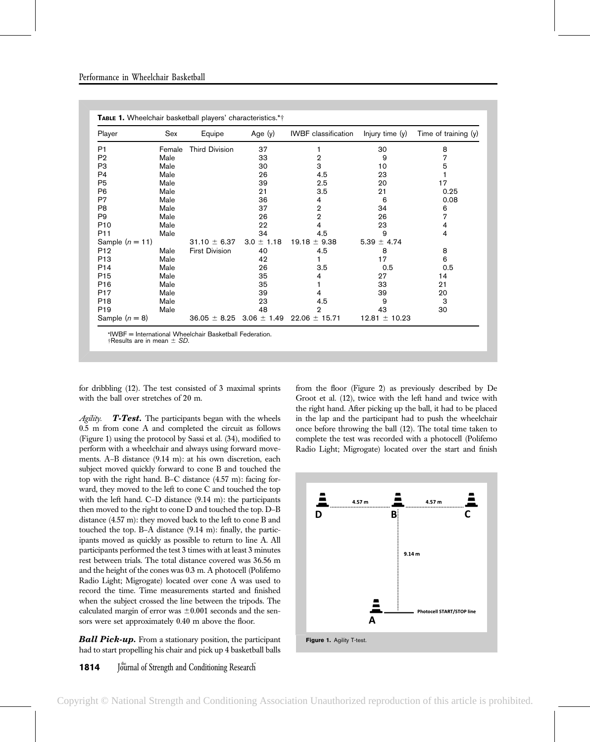| Player            | Sex    | Equipe                           | Age $(y)$      | <b>IWBF</b> classification | Injury time $(y)$ | Time of training $(y)$ |
|-------------------|--------|----------------------------------|----------------|----------------------------|-------------------|------------------------|
| P <sub>1</sub>    | Female | <b>Third Division</b>            | 37             |                            | 30                | 8                      |
| P <sub>2</sub>    | Male   |                                  | 33             | 2                          | 9                 | 7                      |
| P <sub>3</sub>    | Male   |                                  | 30             | 3                          | 10                | 5                      |
| P4                | Male   |                                  | 26             | 4.5                        | 23                |                        |
| P <sub>5</sub>    | Male   |                                  | 39             | 2.5                        | 20                | 17                     |
| P6                | Male   |                                  | 21             | 3.5                        | 21                | 0.25                   |
| P7                | Male   |                                  | 36             | 4                          | 6                 | 0.08                   |
| P <sub>8</sub>    | Male   |                                  | 37             | 2                          | 34                | 6                      |
| P9                | Male   |                                  | 26             | $\overline{2}$             | 26                | 7                      |
| P <sub>10</sub>   | Male   |                                  | 22             | 4                          | 23                | 4                      |
| P <sub>11</sub>   | Male   |                                  | 34             | 4.5                        | 9                 | 4                      |
| Sample $(n = 11)$ |        | $31.10 \pm 6.37$                 | $3.0 \pm 1.18$ | $19.18 \pm 9.38$           | $5.39 \pm 4.74$   |                        |
| P <sub>12</sub>   | Male   | <b>First Division</b>            | 40             | 4.5                        | 8                 | 8                      |
| P <sub>13</sub>   | Male   |                                  | 42             |                            | 17                | 6                      |
| P <sub>14</sub>   | Male   |                                  | 26             | 3.5                        | 0.5               | 0.5                    |
| P <sub>15</sub>   | Male   |                                  | 35             | 4                          | 27                | 14                     |
| P <sub>16</sub>   | Male   |                                  | 35             |                            | 33                | 21                     |
| P <sub>17</sub>   | Male   |                                  | 39             | 4                          | 39                | 20                     |
| P <sub>18</sub>   | Male   |                                  | 23             | 4.5                        | 9                 | 3                      |
| P <sub>19</sub>   | Male   |                                  | 48             | 2                          | 43                | 30                     |
| Sample $(n = 8)$  |        | $36.05 \pm 8.25$ 3.06 $\pm$ 1.49 |                | $22.06 \pm 15.71$          | $12.81 \pm 10.23$ |                        |

|  |  |  |  |  | TABLE 1. Wheelchair basketball players' characteristics.*† |  |
|--|--|--|--|--|------------------------------------------------------------|--|
|--|--|--|--|--|------------------------------------------------------------|--|

\*IWBF = International Wheelchair Basketball Federation.  $\dagger$ Results are in mean  $\pm$  SD.

for dribbling (12). The test consisted of 3 maximal sprints with the ball over stretches of 20 m.

Agility. T-Test. The participants began with the wheels 0.5 m from cone A and completed the circuit as follows (Figure 1) using the protocol by Sassi et al. (34), modified to perform with a wheelchair and always using forward movements. A–B distance (9.14 m): at his own discretion, each subject moved quickly forward to cone B and touched the top with the right hand. B–C distance (4.57 m): facing forward, they moved to the left to cone C and touched the top with the left hand. C–D distance (9.14 m): the participants then moved to the right to cone D and touched the top. D–B distance (4.57 m): they moved back to the left to cone B and touched the top. B–A distance (9.14 m): finally, the participants moved as quickly as possible to return to line A. All participants performed the test 3 times with at least 3 minutes rest between trials. The total distance covered was 36.56 m and the height of the cones was 0.3 m. A photocell (Polifemo Radio Light; Migrogate) located over cone A was used to record the time. Time measurements started and finished when the subject crossed the line between the tripods. The calculated margin of error was  $\pm 0.001$  seconds and the sensors were set approximately 0.40 m above the floor.

**Ball Pick-up.** From a stationary position, the participant had to start propelling his chair and pick up 4 basketball balls from the floor (Figure 2) as previously described by De Groot et al. (12), twice with the left hand and twice with the right hand. After picking up the ball, it had to be placed in the lap and the participant had to push the wheelchair once before throwing the ball (12). The total time taken to complete the test was recorded with a photocell (Polifemo Radio Light; Migrogate) located over the start and finish

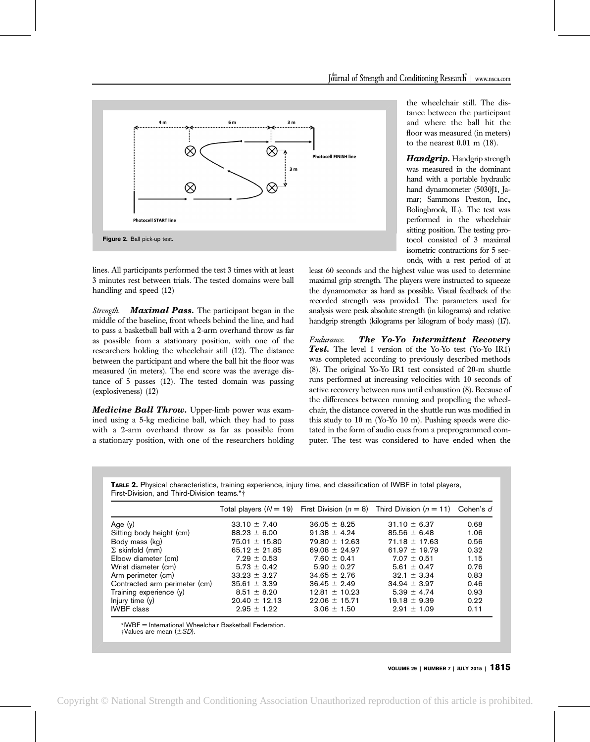

lines. All participants performed the test 3 times with at least 3 minutes rest between trials. The tested domains were ball handling and speed (12)

Strength. **Maximal Pass.** The participant began in the middle of the baseline, front wheels behind the line, and had to pass a basketball ball with a 2-arm overhand throw as far as possible from a stationary position, with one of the researchers holding the wheelchair still (12). The distance between the participant and where the ball hit the floor was measured (in meters). The end score was the average distance of 5 passes (12). The tested domain was passing (explosiveness) (12)

Medicine Ball Throw. Upper-limb power was examined using a 5-kg medicine ball, which they had to pass with a 2-arm overhand throw as far as possible from a stationary position, with one of the researchers holding

the wheelchair still. The distance between the participant and where the ball hit the floor was measured (in meters) to the nearest 0.01 m (18).

Handgrip. Handgrip strength was measured in the dominant hand with a portable hydraulic hand dynamometer (5030J1, Jamar; Sammons Preston, Inc., Bolingbrook, IL). The test was performed in the wheelchair sitting position. The testing protocol consisted of 3 maximal isometric contractions for 5 seconds, with a rest period of at

least 60 seconds and the highest value was used to determine maximal grip strength. The players were instructed to squeeze the dynamometer as hard as possible. Visual feedback of the recorded strength was provided. The parameters used for analysis were peak absolute strength (in kilograms) and relative handgrip strength (kilograms per kilogram of body mass) (17).

Endurance. The Yo-Yo Intermittent Recovery Test. The level 1 version of the Yo-Yo test (Yo-Yo IR1) was completed according to previously described methods (8). The original Yo-Yo IR1 test consisted of 20-m shuttle runs performed at increasing velocities with 10 seconds of active recovery between runs until exhaustion (8). Because of the differences between running and propelling the wheelchair, the distance covered in the shuttle run was modified in this study to 10 m (Yo-Yo 10 m). Pushing speeds were dictated in the form of audio cues from a preprogrammed computer. The test was considered to have ended when the

TABLE 2. Physical characteristics, training experience, injury time, and classification of IWBF in total players, First-Division, and Third-Division teams.\*†

|                               |                   |                   | Total players $(N = 19)$ First Division $(n = 8)$ Third Division $(n = 11)$ Cohen's d |      |
|-------------------------------|-------------------|-------------------|---------------------------------------------------------------------------------------|------|
| Age $(y)$                     | $33.10 \pm 7.40$  | $36.05 \pm 8.25$  | $31.10 \pm 6.37$                                                                      | 0.68 |
| Sitting body height (cm)      | $88.23 \pm 6.00$  | $91.38 \pm 4.24$  | $85.56 \pm 6.48$                                                                      | 1.06 |
| Body mass (kg)                | $75.01 \pm 15.80$ | $79.80 \pm 12.63$ | $71.18 \pm 17.63$                                                                     | 0.56 |
| $\Sigma$ skinfold (mm)        | $65.12 \pm 21.85$ | 69.08 $\pm$ 24.97 | $61.97 + 19.79$                                                                       | 0.32 |
| Elbow diameter (cm)           | $7.29 \pm 0.53$   | $7.60 \pm 0.41$   | $7.07 \pm 0.51$                                                                       | 1.15 |
| Wrist diameter (cm)           | $5.73 \pm 0.42$   | $5.90 \pm 0.27$   | $5.61 \pm 0.47$                                                                       | 0.76 |
| Arm perimeter (cm)            | $33.23 + 3.27$    | $34.65 \pm 2.76$  | $32.1 \pm 3.34$                                                                       | 0.83 |
| Contracted arm perimeter (cm) | $35.61 \pm 3.39$  | $36.45 \pm 2.49$  | $34.94 \pm 3.97$                                                                      | 0.46 |
| Training experience (y)       | $8.51 \pm 8.20$   | $12.81 \pm 10.23$ | $5.39 + 4.74$                                                                         | 0.93 |
| Injury time (y)               | $20.40 \pm 12.13$ | $22.06 \pm 15.71$ | $19.18 \pm 9.39$                                                                      | 0.22 |
| <b>IWBF</b> class             | $2.95 \pm 1.22$   | $3.06 \pm 1.50$   | $2.91 \pm 1.09$                                                                       | 0.11 |

\*IWBF = International Wheelchair Basketball Federation.  $\dagger$ Values are mean ( $\pm SD$ ).

VOLUME 29 | NUMBER 7 | JULY 2015 | 1815

Copyright © National Strength and Conditioning Association Unauthorized reproduction of this article is prohibited.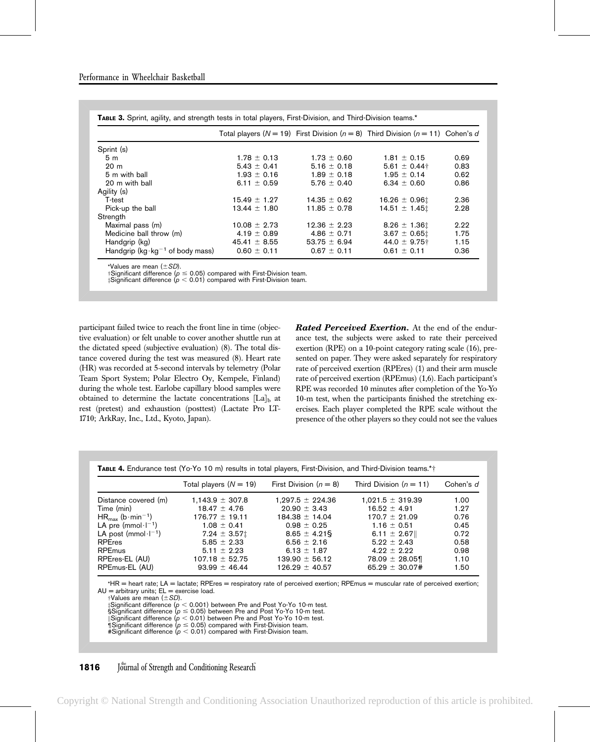|                                             |                  |                  | Total players ( $N = 19$ ) First Division ( $n = 8$ ) Third Division ( $n = 11$ ) Cohen's d |      |
|---------------------------------------------|------------------|------------------|---------------------------------------------------------------------------------------------|------|
| Sprint (s)                                  |                  |                  |                                                                                             |      |
| 5 <sub>m</sub>                              | $1.78 \pm 0.13$  | $1.73 \pm 0.60$  | $1.81 \pm 0.15$                                                                             | 0.69 |
| 20 <sub>m</sub>                             | $5.43 \pm 0.41$  | $5.16 \pm 0.18$  | $5.61 \pm 0.44$ †                                                                           | 0.83 |
| 5 m with ball                               | $1.93 \pm 0.16$  | $1.89 \pm 0.18$  | $1.95 \pm 0.14$                                                                             | 0.62 |
| 20 m with ball                              | 6.11 $\pm$ 0.59  | $5.76 \pm 0.40$  | $6.34 \pm 0.60$                                                                             | 0.86 |
| Agility (s)                                 |                  |                  |                                                                                             |      |
| T-test                                      | $15.49 \pm 1.27$ | $14.35 \pm 0.62$ | $16.26 \pm 0.961$                                                                           | 2.36 |
| Pick-up the ball                            | $13.44 \pm 1.80$ | $11.85 \pm 0.78$ | $14.51 \pm 1.45$                                                                            | 2.28 |
| Strength                                    |                  |                  |                                                                                             |      |
| Maximal pass (m)                            | $10.08 \pm 2.73$ | $12.36 \pm 2.23$ | $8.26 \pm 1.361$                                                                            | 2.22 |
| Medicine ball throw (m)                     | $4.19 \pm 0.89$  | $4.86 \pm 0.71$  | $3.67 \pm 0.651$                                                                            | 1.75 |
| Handgrip (kg)                               | $45.41 \pm 8.55$ | 53.75 $\pm$ 6.94 | 44.0 $\pm$ 9.75 $\dagger$                                                                   | 1.15 |
| Handgrip ( $kg \cdot kg^{-1}$ of body mass) | $0.60 \pm 0.11$  | $0.67 \pm 0.11$  | $0.61 \pm 0.11$                                                                             | 0.36 |

TABLE 3. Sprint, agility, and strength tests in total players, First-Division, and Third-Division teams.\*

 $*$ Values are mean  $(+SD)$ .

 $\dagger$ Significant difference ( $p \le 0.05$ ) compared with First-Division team.

 $\sharp$ Significant difference ( $p <$  0.01) compared with First-Division team.

participant failed twice to reach the front line in time (objective evaluation) or felt unable to cover another shuttle run at the dictated speed (subjective evaluation) (8). The total distance covered during the test was measured (8). Heart rate (HR) was recorded at 5-second intervals by telemetry (Polar Team Sport System; Polar Electro Oy, Kempele, Finland) during the whole test. Earlobe capillary blood samples were obtained to determine the lactate concentrations  $[La]_b$  at rest (pretest) and exhaustion (posttest) (Lactate Pro LT-1710; ArkRay, Inc., Ltd., Kyoto, Japan).

**Rated Perceived Exertion.** At the end of the endurance test, the subjects were asked to rate their perceived exertion (RPE) on a 10-point category rating scale (16), presented on paper. They were asked separately for respiratory rate of perceived exertion (RPEres) (1) and their arm muscle rate of perceived exertion (RPEmus) (1,6). Each participant's RPE was recorded 10 minutes after completion of the Yo-Yo 10-m test, when the participants finished the stretching exercises. Each player completed the RPE scale without the presence of the other players so they could not see the values

TABLE 4. Endurance test (Yo-Yo 10 m) results in total players, First-Division, and Third-Division teams.\*†

|                                          | Total players $(N = 19)$ | First Division $(n = 8)$ | Third Division $(n = 11)$ | Cohen's d |
|------------------------------------------|--------------------------|--------------------------|---------------------------|-----------|
| Distance covered (m)                     | $1,143.9 \pm 307.8$      | $1,297.5 \pm 224.36$     | $1,021.5 \pm 319.39$      | 1.00      |
| Time (min)                               | $18.47 \pm 4.76$         | $20.90 \pm 3.43$         | $16.52 \pm 4.91$          | 1.27      |
| $HR_{\text{max}}$ (b·min <sup>-1</sup> ) | $176.77 \pm 19.11$       | $184.38 \pm 14.04$       | $170.7 \pm 21.09$         | 0.76      |
| LA pre (mmol $\cdot$ $I^{-1}$ )          | $1.08 \pm 0.41$          | $0.98 \pm 0.25$          | $1.16 \pm 0.51$           | 0.45      |
| LA post (mmol· $I^{-1}$ )                | $7.24 \pm 3.571$         | $8.65 \pm 4.21\%$        | 6.11 $\pm$ 2.67           | 0.72      |
| <b>RPEres</b>                            | $5.85 \pm 2.33$          | $6.56 \pm 2.16$          | $5.22 \pm 2.43$           | 0.58      |
| <b>RPEmus</b>                            | $5.11 \pm 2.23$          | 6.13 $\pm$ 1.87          | $4.22 \pm 2.22$           | 0.98      |
| RPEres-EL (AU)                           | $107.18 \pm 52.75$       | $139.90 \pm 56.12$       | $78.09 \pm 28.05$         | 1.10      |
| RPEmus-EL (AU)                           | $93.99 \pm 46.44$        | $126.29 \pm 40.57$       | $65.29 \pm 30.07#$        | 1.50      |

\*HR = heart rate; LA = lactate; RPEres = respiratory rate of perceived exertion; RPEmus = muscular rate of perceived exertion;  $AU =$  arbitrary units;  $EL =$  exercise load.

 $\dagger$ Values are mean  $(\pm SD)$ .

‡Significant difference ( $\rm \rho < 0.001)$  between Pre and Post Yo-Yo 10-m test.<br>§Significant difference ( $\rm \rho \leq 0.05)$  between Pre and Post Yo-Yo 10-m test.

 $\|\text{Significant difference } (\rho < 0.01)$  between Pre and Post Yo-Yo 10-m test.<br> $\|\text{Significant difference } (\rho \leq 0.05)$  compared with First-Division team.

#Significant difference ( $p < 0.01$ ) compared with First-Division team.

# **1816** Journal of Strength and Conditioning Research

```
Copyright © National Strength and Conditioning Association Unauthorized reproduction of this article is prohibited.
```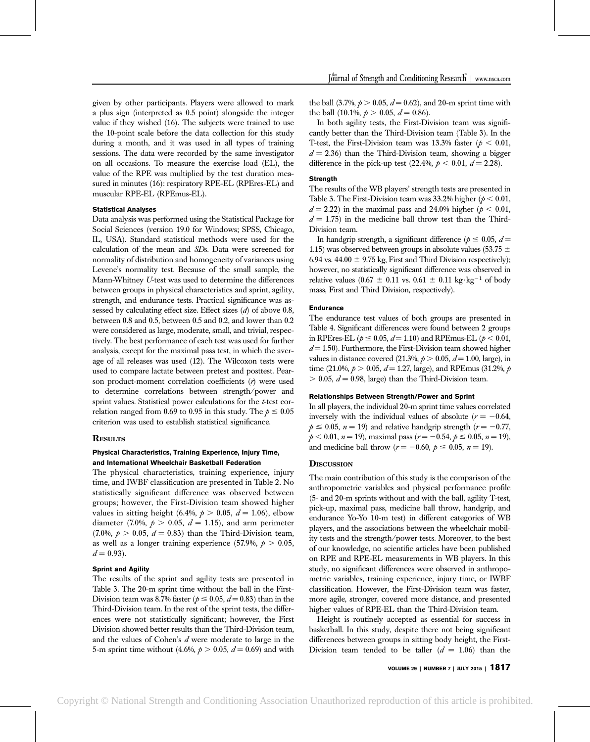given by other participants. Players were allowed to mark a plus sign (interpreted as 0.5 point) alongside the integer value if they wished (16). The subjects were trained to use the 10-point scale before the data collection for this study during a month, and it was used in all types of training sessions. The data were recorded by the same investigator on all occasions. To measure the exercise load (EL), the value of the RPE was multiplied by the test duration measured in minutes (16): respiratory RPE-EL (RPEres-EL) and muscular RPE-EL (RPEmus-EL).

#### Statistical Analyses

Data analysis was performed using the Statistical Package for Social Sciences (version 19.0 for Windows; SPSS, Chicago, IL, USA). Standard statistical methods were used for the calculation of the mean and SDs. Data were screened for normality of distribution and homogeneity of variances using Levene's normality test. Because of the small sample, the Mann-Whitney U-test was used to determine the differences between groups in physical characteristics and sprint, agility, strength, and endurance tests. Practical significance was assessed by calculating effect size. Effect sizes  $(d)$  of above 0.8, between 0.8 and 0.5, between 0.5 and 0.2, and lower than 0.2 were considered as large, moderate, small, and trivial, respectively. The best performance of each test was used for further analysis, except for the maximal pass test, in which the average of all releases was used (12). The Wilcoxon tests were used to compare lactate between pretest and posttest. Pearson product-moment correlation coefficients  $(r)$  were used to determine correlations between strength/power and sprint values. Statistical power calculations for the t-test correlation ranged from 0.69 to 0.95 in this study. The  $p \le 0.05$ criterion was used to establish statistical significance.

### **RESULTS**

## Physical Characteristics, Training Experience, Injury Time, and International Wheelchair Basketball Federation

The physical characteristics, training experience, injury time, and IWBF classification are presented in Table 2. No statistically significant difference was observed between groups; however, the First-Division team showed higher values in sitting height (6.4%,  $p > 0.05$ ,  $d = 1.06$ ), elbow diameter (7.0%,  $p > 0.05$ ,  $d = 1.15$ ), and arm perimeter  $(7.0\%, p > 0.05, d = 0.83)$  than the Third-Division team, as well as a longer training experience (57.9%,  $p > 0.05$ ,  $d = 0.93$ .

## Sprint and Agility

The results of the sprint and agility tests are presented in Table 3. The 20-m sprint time without the ball in the First-Division team was 8.7% faster ( $p \le 0.05$ ,  $d = 0.83$ ) than in the Third-Division team. In the rest of the sprint tests, the differences were not statistically significant; however, the First Division showed better results than the Third-Division team, and the values of Cohen's d were moderate to large in the 5-m sprint time without (4.6%,  $p > 0.05$ ,  $d = 0.69$ ) and with the ball  $(3.7\%, p > 0.05, d = 0.62)$ , and 20-m sprint time with the ball  $(10.1\%, p > 0.05, d = 0.86)$ .

In both agility tests, the First-Division team was significantly better than the Third-Division team (Table 3). In the T-test, the First-Division team was 13.3% faster ( $p < 0.01$ ,  $d = 2.36$ ) than the Third-Division team, showing a bigger difference in the pick-up test (22.4%,  $p < 0.01$ ,  $d = 2.28$ ).

#### **Strength**

The results of the WB players' strength tests are presented in Table 3. The First-Division team was 33.2% higher ( $p < 0.01$ ,  $d = 2.22$ ) in the maximal pass and 24.0% higher ( $p < 0.01$ ,  $d = 1.75$ ) in the medicine ball throw test than the Third-Division team.

In handgrip strength, a significant difference ( $p \le 0.05$ ,  $d =$ 1.15) was observed between groups in absolute values (53.75  $\pm$ 6.94 vs. 44.00  $\pm$  9.75 kg, First and Third Division respectively); however, no statistically significant difference was observed in relative values (0.67  $\pm$  0.11 vs. 0.61  $\pm$  0.11 kg·kg<sup>-1</sup> of body mass, First and Third Division, respectively).

#### Endurance

The endurance test values of both groups are presented in Table 4. Significant differences were found between 2 groups in RPEres-EL ( $p \le 0.05$ ,  $d = 1.10$ ) and RPEmus-EL ( $p < 0.01$ ,  $d = 1.50$ ). Furthermore, the First-Division team showed higher values in distance covered (21.3%,  $p > 0.05$ ,  $d = 1.00$ , large), in time (21.0%,  $p > 0.05$ ,  $d = 1.27$ , large), and RPEmus (31.2%, p  $> 0.05$ ,  $d = 0.98$ , large) than the Third-Division team.

#### Relationships Between Strength/Power and Sprint

In all players, the individual 20-m sprint time values correlated inversely with the individual values of absolute  $(r = -0.64,$  $p \le 0.05$ ,  $n = 19$ ) and relative handgrip strength ( $r = -0.77$ ,  $p < 0.01$ ,  $n = 19$ ), maximal pass ( $r = -0.54$ ,  $p \le 0.05$ ,  $n = 19$ ), and medicine ball throw ( $r = -0.60$ ,  $p \le 0.05$ ,  $n = 19$ ).

#### **DISCUSSION**

The main contribution of this study is the comparison of the anthropometric variables and physical performance profile (5- and 20-m sprints without and with the ball, agility T-test, pick-up, maximal pass, medicine ball throw, handgrip, and endurance Yo-Yo 10-m test) in different categories of WB players, and the associations between the wheelchair mobility tests and the strength/power tests. Moreover, to the best of our knowledge, no scientific articles have been published on RPE and RPE-EL measurements in WB players. In this study, no significant differences were observed in anthropometric variables, training experience, injury time, or IWBF classification. However, the First-Division team was faster, more agile, stronger, covered more distance, and presented higher values of RPE-EL than the Third-Division team.

Height is routinely accepted as essential for success in basketball. In this study, despite there not being significant differences between groups in sitting body height, the First-Division team tended to be taller  $(d = 1.06)$  than the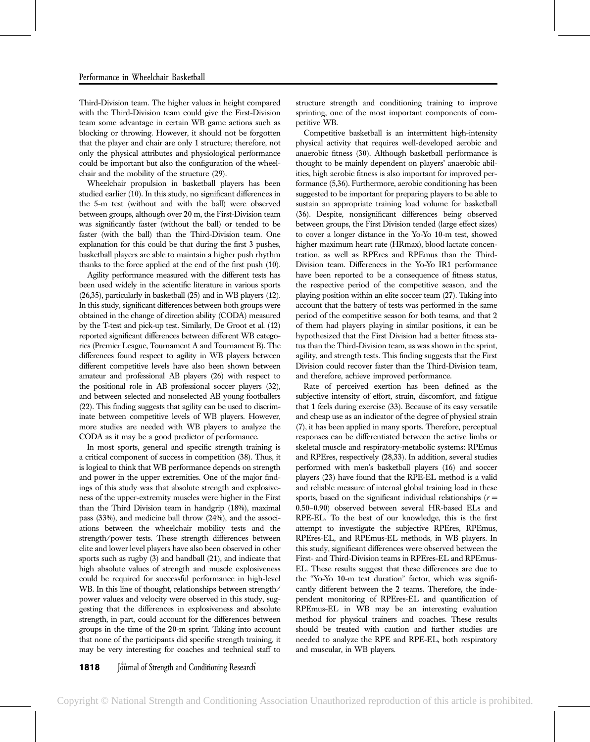Third-Division team. The higher values in height compared with the Third-Division team could give the First-Division team some advantage in certain WB game actions such as blocking or throwing. However, it should not be forgotten that the player and chair are only 1 structure; therefore, not only the physical attributes and physiological performance could be important but also the configuration of the wheelchair and the mobility of the structure (29).

Wheelchair propulsion in basketball players has been studied earlier (10). In this study, no significant differences in the 5-m test (without and with the ball) were observed between groups, although over 20 m, the First-Division team was significantly faster (without the ball) or tended to be faster (with the ball) than the Third-Division team. One explanation for this could be that during the first 3 pushes, basketball players are able to maintain a higher push rhythm thanks to the force applied at the end of the first push (10).

Agility performance measured with the different tests has been used widely in the scientific literature in various sports (26,35), particularly in basketball (25) and in WB players (12). In this study, significant differences between both groups were obtained in the change of direction ability (CODA) measured by the T-test and pick-up test. Similarly, De Groot et al. (12) reported significant differences between different WB categories (Premier League, Tournament A and Tournament B). The differences found respect to agility in WB players between different competitive levels have also been shown between amateur and professional AB players (26) with respect to the positional role in AB professional soccer players (32), and between selected and nonselected AB young footballers (22). This finding suggests that agility can be used to discriminate between competitive levels of WB players. However, more studies are needed with WB players to analyze the CODA as it may be a good predictor of performance.

In most sports, general and specific strength training is a critical component of success in competition (38). Thus, it is logical to think that WB performance depends on strength and power in the upper extremities. One of the major findings of this study was that absolute strength and explosiveness of the upper-extremity muscles were higher in the First than the Third Division team in handgrip (18%), maximal pass (33%), and medicine ball throw (24%), and the associations between the wheelchair mobility tests and the strength/power tests. These strength differences between elite and lower level players have also been observed in other sports such as rugby (3) and handball (21), and indicate that high absolute values of strength and muscle explosiveness could be required for successful performance in high-level WB. In this line of thought, relationships between strength/ power values and velocity were observed in this study, suggesting that the differences in explosiveness and absolute strength, in part, could account for the differences between groups in the time of the 20-m sprint. Taking into account that none of the participants did specific strength training, it may be very interesting for coaches and technical staff to

sprinting, one of the most important components of competitive WB. Competitive basketball is an intermittent high-intensity

structure strength and conditioning training to improve

physical activity that requires well-developed aerobic and anaerobic fitness (30). Although basketball performance is thought to be mainly dependent on players' anaerobic abilities, high aerobic fitness is also important for improved performance (5,36). Furthermore, aerobic conditioning has been suggested to be important for preparing players to be able to sustain an appropriate training load volume for basketball (36). Despite, nonsignificant differences being observed between groups, the First Division tended (large effect sizes) to cover a longer distance in the Yo-Yo 10-m test, showed higher maximum heart rate (HRmax), blood lactate concentration, as well as RPEres and RPEmus than the Third-Division team. Differences in the Yo-Yo IR1 performance have been reported to be a consequence of fitness status, the respective period of the competitive season, and the playing position within an elite soccer team (27). Taking into account that the battery of tests was performed in the same period of the competitive season for both teams, and that 2 of them had players playing in similar positions, it can be hypothesized that the First Division had a better fitness status than the Third-Division team, as was shown in the sprint, agility, and strength tests. This finding suggests that the First Division could recover faster than the Third-Division team, and therefore, achieve improved performance.

Rate of perceived exertion has been defined as the subjective intensity of effort, strain, discomfort, and fatigue that 1 feels during exercise (33). Because of its easy versatile and cheap use as an indicator of the degree of physical strain (7), it has been applied in many sports. Therefore, perceptual responses can be differentiated between the active limbs or skeletal muscle and respiratory-metabolic systems: RPEmus and RPEres, respectively (28,33). In addition, several studies performed with men's basketball players (16) and soccer players (23) have found that the RPE-EL method is a valid and reliable measure of internal global training load in these sports, based on the significant individual relationships  $(r =$ 0.50–0.90) observed between several HR-based ELs and RPE-EL. To the best of our knowledge, this is the first attempt to investigate the subjective RPEres, RPEmus, RPEres-EL, and RPEmus-EL methods, in WB players. In this study, significant differences were observed between the First- and Third-Division teams in RPEres-EL and RPEmus-EL. These results suggest that these differences are due to the "Yo-Yo 10-m test duration" factor, which was significantly different between the 2 teams. Therefore, the independent monitoring of RPEres-EL and quantification of RPEmus-EL in WB may be an interesting evaluation method for physical trainers and coaches. These results should be treated with caution and further studies are needed to analyze the RPE and RPE-EL, both respiratory and muscular, in WB players.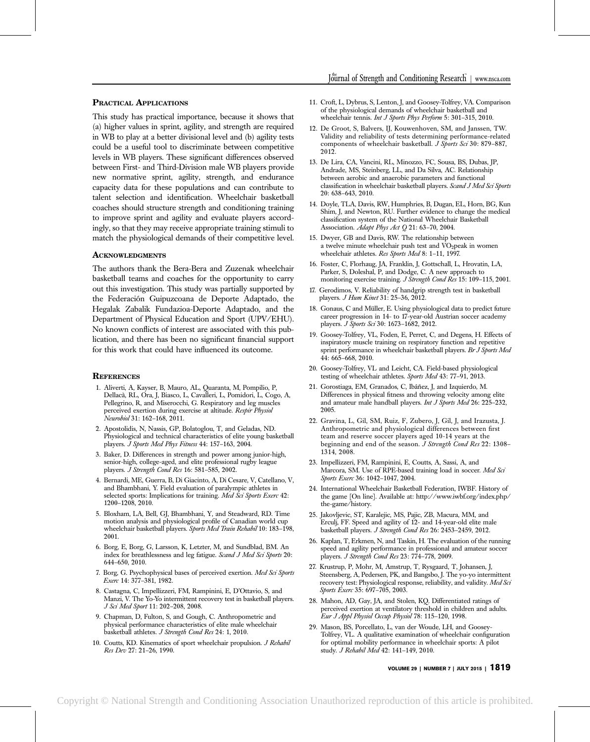## PRACTICAL APPLICATIONS

This study has practical importance, because it shows that (a) higher values in sprint, agility, and strength are required in WB to play at a better divisional level and (b) agility tests could be a useful tool to discriminate between competitive levels in WB players. These significant differences observed between First- and Third-Division male WB players provide new normative sprint, agility, strength, and endurance capacity data for these populations and can contribute to talent selection and identification. Wheelchair basketball coaches should structure strength and conditioning training to improve sprint and agility and evaluate players accordingly, so that they may receive appropriate training stimuli to match the physiological demands of their competitive level.

## ACKNOWLEDGMENTS

The authors thank the Bera-Bera and Zuzenak wheelchair basketball teams and coaches for the opportunity to carry out this investigation. This study was partially supported by the Federación Guipuzcoana de Deporte Adaptado, the Hegalak Zabalik Fundazioa-Deporte Adaptado, and the Department of Physical Education and Sport (UPV/EHU). No known conflicts of interest are associated with this publication, and there has been no significant financial support for this work that could have influenced its outcome.

### **REFERENCES**

- 1. Aliverti, A, Kayser, B, Mauro, AL, Quaranta, M, Pompilio, P, Dellaca`, RL, Ora, J, Biasco, L, Cavalleri, L, Pomidori, L, Cogo, A, Pellegrino, R, and Miserocchi, G. Respiratory and leg muscles perceived exertion during exercise at altitude. Respir Physiol Neurobiol 31: 162–168, 2011.
- 2. Apostolidis, N, Nassis, GP, Bolatoglou, T, and Geladas, ND. Physiological and technical characteristics of elite young basketball players. J Sports Med Phys Fitness 44: 157–163, 2004.
- 3. Baker, D. Differences in strength and power among junior-high, senior-high, college-aged, and elite professional rugby league players. J Strength Cond Res 16: 581-585, 2002.
- 4. Bernardi, ME, Guerra, B, Di Giacinto, A, Di Cesare, V, Catellano, V, and Bhambhani, Y. Field evaluation of paralympic athletes in selected sports: Implications for training. Med Sci Sports Exerc 42: 1200–1208, 2010.
- 5. Bloxham, LA, Bell, GJ, Bhambhani, Y, and Steadward, RD. Time motion analysis and physiological profile of Canadian world cup wheelchair basketball players. Sports Med Train Rehabil 10: 183-198, 2001.
- 6. Borg, E, Borg, G, Larsson, K, Letzter, M, and Sundblad, BM. An index for breathlessness and leg fatigue. Scand J Med Sci Sports 20: 644–650, 2010.
- 7. Borg, G. Psychophysical bases of perceived exertion. Med Sci Sports Exerc 14: 377–381, 1982.
- 8. Castagna, C, Impellizzeri, FM, Rampinini, E, D'Ottavio, S, and Manzi, V. The Yo-Yo intermittent recovery test in basketball players. J Sci Med Sport 11: 202–208, 2008.
- 9. Chapman, D, Fulton, S, and Gough, C. Anthropometric and physical performance characteristics of elite male wheelchair basketball athletes. J Strength Cond Res 24: 1, 2010.
- 10. Coutts, KD. Kinematics of sport wheelchair propulsion. J Rehabil Res Dev 27: 21–26, 1990.
- 11. Croft, L, Dybrus, S, Lenton, J, and Goosey-Tolfrey, VA. Comparison of the physiological demands of wheelchair basketball and wheelchair tennis. Int J Sports Phys Perform 5: 301-315, 2010.
- 12. De Groot, S, Balvers, IJ, Kouwenhoven, SM, and Janssen, TW. Validity and reliability of tests determining performance-related components of wheelchair basketball. J Sports Sci 30: 879-887, 2012.
- 13. De Lira, CA, Vancini, RL, Minozzo, FC, Sousa, BS, Dubas, JP, Andrade, MS, Steinberg, LL, and Da Silva, AC. Relationship between aerobic and anaerobic parameters and functional classification in wheelchair basketball players. Scand J Med Sci Sports 20: 638–643, 2010.
- 14. Doyle, TLA, Davis, RW, Humphries, B, Dugan, EL, Horn, BG, Kun Shim, J, and Newton, RU. Further evidence to change the medical classification system of the National Wheelchair Basketball Association. Adapt Phys Act Q 21: 63-70, 2004.
- 15. Dwyer, GB and Davis, RW. The relationship between a twelve minute wheelchair push test and  $VO<sub>2</sub>peak$  in women wheelchair athletes. Res Sports Med 8: 1-11, 1997.
- 16. Foster, C, Florhaug, JA, Franklin, J, Gottschall, L, Hrovatin, LA, Parker, S, Doleshal, P, and Dodge, C. A new approach to monitoring exercise training. J Strength Cond Res 15: 109-115, 2001.
- 17. Gerodimos, V. Reliability of handgrip strength test in basketball players. J Hum Kinet 31: 25–36, 2012.
- 18. Gonaus, C and Müller, E. Using physiological data to predict future career progression in 14- to 17-year-old Austrian soccer academy players. J Sports Sci 30: 1673-1682, 2012.
- 19. Goosey-Tolfrey, VL, Foden, E, Perret, C, and Degens, H. Effects of inspiratory muscle training on respiratory function and repetitive sprint performance in wheelchair basketball players. Br J Sports Med 44: 665–668, 2010.
- 20. Goosey-Tolfrey, VL and Leicht, CA. Field-based physiological testing of wheelchair athletes. Sports Med 43: 77-91, 2013.
- 21. Gorostiaga, EM, Granados, C, Ibáñez, J, and Izquierdo, M. Differences in physical fitness and throwing velocity among elite and amateur male handball players. Int J Sports Med 26: 225-232, 2005.
- 22. Gravina, L, Gil, SM, Ruiz, F, Zubero, J, Gil, J, and Irazusta, J. Anthropometric and physiological differences between first team and reserve soccer players aged 10-14 years at the beginning and end of the season. J Strength Cond Res 22: 1308-1314, 2008.
- 23. Impellizzeri, FM, Rampinini, E, Coutts, A, Sassi, A, and Marcora, SM. Use of RPE-based training load in soccer. Med Sci Sports Exerc 36: 1042-1047, 2004.
- 24. International Wheelchair Basketball Federation, IWBF. History of the game [On line]. Available at: http://www.iwbf.org/index.php/ the-game/history.
- 25. Jakovljevic, ST, Karalejic, MS, Pajic, ZB, Macura, MM, and Erculj, FF. Speed and agility of 12- and 14-year-old elite male basketball players. J Strength Cond Res 26: 2453–2459, 2012.
- 26. Kaplan, T, Erkmen, N, and Taskin, H. The evaluation of the running speed and agility performance in professional and amateur soccer players. J Strength Cond Res 23: 774-778, 2009.
- 27. Krustrup, P, Mohr, M, Amstrup, T, Rysgaard, T, Johansen, J, Steensberg, A, Pedersen, PK, and Bangsbo, J. The yo-yo intermittent recovery test: Physiological response, reliability, and validity. Med Sci Sports Exerc 35: 697–705, 2003.
- 28. Mahon, AD, Gay, JA, and Stolen, KQ. Differentiated ratings of perceived exertion at ventilatory threshold in children and adults. Eur J Appl Physiol Occup Physiol 78: 115–120, 1998.
- 29. Mason, BS, Porcellato, L, van der Woude, LH, and Goosey-Tolfrey, VL. A qualitative examination of wheelchair configuration for optimal mobility performance in wheelchair sports: A pilot study. J Rehabil Med 42: 141-149, 2010.

VOLUME 29 | NUMBER 7 | JULY 2015 | 1819